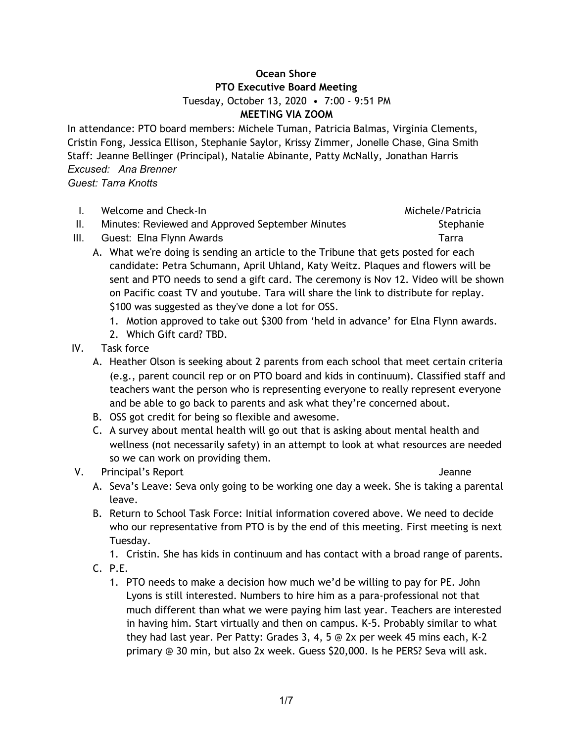## **Ocean Shore PTO Executive Board Meeting** Tuesday, October 13, 2020 • 7:00 - 9:51 PM **MEETING VIA ZOOM**

In attendance: PTO board members: Michele Tuman, Patricia Balmas, Virginia Clements, Cristin Fong, Jessica Ellison, Stephanie Saylor, Krissy Zimmer, Jonelle Chase, Gina Smith Staff: Jeanne Bellinger (Principal), Natalie Abinante, Patty McNally, Jonathan Harris *Excused: Ana Brenner*

*Guest: Tarra Knotts*

- I. Welcome and Check-In Michele/Patricia
- II. Minutes: Reviewed and Approved September Minutes Stephanie

**III.** Guest: Elna Flynn Awards **Tarra** Tarra Tarra Tarra Tarra Tarra Tarra Tarra Tarra Tarra Tarra Tarra Tarra Tarra Tarra Tarra Tarra Tarra Tarra Tarra Tarra Tarra Tarra Tarra Tarra Tarra Tarra Tarra Tarra Tarra Tarra Ta

- A. What we're doing is sending an article to the Tribune that gets posted for each candidate: Petra Schumann, April Uhland, Katy Weitz. Plaques and flowers will be sent and PTO needs to send a gift card. The ceremony is Nov 12. Video will be shown on Pacific coast TV and youtube. Tara will share the link to distribute for replay. \$100 was suggested as they've done a lot for OSS.
	- 1. Motion approved to take out \$300 from 'held in advance' for Elna Flynn awards.
	- 2. Which Gift card? TBD.
- IV. Task force
	- A. Heather Olson is seeking about 2 parents from each school that meet certain criteria (e.g., parent council rep or on PTO board and kids in continuum). Classified staff and teachers want the person who is representing everyone to really represent everyone and be able to go back to parents and ask what they're concerned about.
	- B. OSS got credit for being so flexible and awesome.
	- C. A survey about mental health will go out that is asking about mental health and wellness (not necessarily safety) in an attempt to look at what resources are needed so we can work on providing them.

# V. Principal's Report **View Access 1999** Jeanne

- 
- A. Seva's Leave: Seva only going to be working one day a week. She is taking a parental leave.
- B. Return to School Task Force: Initial information covered above. We need to decide who our representative from PTO is by the end of this meeting. First meeting is next Tuesday.

1. Cristin. She has kids in continuum and has contact with a broad range of parents. C. P.E.

- - 1. PTO needs to make a decision how much we'd be willing to pay for PE. John Lyons is still interested. Numbers to hire him as a para-professional not that much different than what we were paying him last year. Teachers are interested in having him. Start virtually and then on campus. K-5. Probably similar to what they had last year. Per Patty: Grades 3, 4, 5 @ 2x per week 45 mins each, K-2 primary @ 30 min, but also 2x week. Guess \$20,000. Is he PERS? Seva will ask.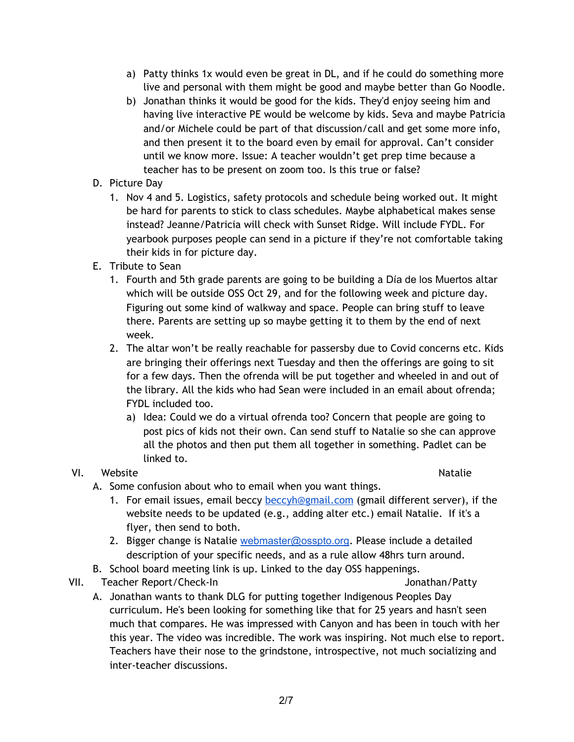- a) Patty thinks 1x would even be great in DL, and if he could do something more live and personal with them might be good and maybe better than Go Noodle.
- b) Jonathan thinks it would be good for the kids. They'd enjoy seeing him and having live interactive PE would be welcome by kids. Seva and maybe Patricia and/or Michele could be part of that discussion/call and get some more info, and then present it to the board even by email for approval. Can't consider until we know more. Issue: A teacher wouldn't get prep time because a teacher has to be present on zoom too. Is this true or false?
- D. Picture Day
	- 1. Nov 4 and 5. Logistics, safety protocols and schedule being worked out. It might be hard for parents to stick to class schedules. Maybe alphabetical makes sense instead? Jeanne/Patricia will check with Sunset Ridge. Will include FYDL. For yearbook purposes people can send in a picture if they're not comfortable taking their kids in for picture day.
- E. Tribute to Sean
	- 1. Fourth and 5th grade parents are going to be building a Día de los Muertos altar which will be outside OSS Oct 29, and for the following week and picture day. Figuring out some kind of walkway and space. People can bring stuff to leave there. Parents are setting up so maybe getting it to them by the end of next week.
	- 2. The altar won't be really reachable for passersby due to Covid concerns etc. Kids are bringing their offerings next Tuesday and then the offerings are going to sit for a few days. Then the ofrenda will be put together and wheeled in and out of the library. All the kids who had Sean were included in an email about ofrenda; FYDL included too.
		- a) Idea: Could we do a virtual ofrenda too? Concern that people are going to post pics of kids not their own. Can send stuff to Natalie so she can approve all the photos and then put them all together in something. Padlet can be linked to.

# VI. Website **Natalie**

- A. Some confusion about who to email when you want things.
	- 1. For email issues, email beccy [beccyh@gmail.com](mailto:beccyh@gmail.com) (gmail different server), if the website needs to be updated (e.g., adding alter etc.) email Natalie. If it's a flyer, then send to both.
	- 2. Bigger change is Natalie [webmaster@osspto.org](mailto:webmaster@osspto.org). Please include a detailed description of your specific needs, and as a rule allow 48hrs turn around.
- B. School board meeting link is up. Linked to the day OSS happenings.
- VII. Teacher Report/Check-In **Internal Constructs** Solution Jonathan/Patty
	- A. Jonathan wants to thank DLG for putting together Indigenous Peoples Day curriculum. He's been looking for something like that for 25 years and hasn't seen much that compares. He was impressed with Canyon and has been in touch with her this year. The video was incredible. The work was inspiring. Not much else to report. Teachers have their nose to the grindstone, introspective, not much socializing and inter-teacher discussions.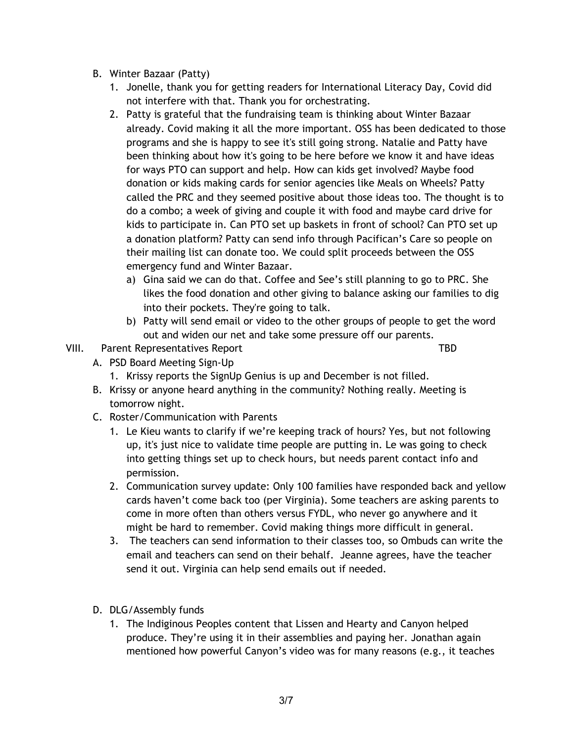- B. Winter Bazaar (Patty)
	- 1. Jonelle, thank you for getting readers for International Literacy Day, Covid did not interfere with that. Thank you for orchestrating.
	- 2. Patty is grateful that the fundraising team is thinking about Winter Bazaar already. Covid making it all the more important. OSS has been dedicated to those programs and she is happy to see it's still going strong. Natalie and Patty have been thinking about how it's going to be here before we know it and have ideas for ways PTO can support and help. How can kids get involved? Maybe food donation or kids making cards for senior agencies like Meals on Wheels? Patty called the PRC and they seemed positive about those ideas too. The thought is to do a combo; a week of giving and couple it with food and maybe card drive for kids to participate in. Can PTO set up baskets in front of school? Can PTO set up a donation platform? Patty can send info through Pacifican's Care so people on their mailing list can donate too. We could split proceeds between the OSS emergency fund and Winter Bazaar.
		- a) Gina said we can do that. Coffee and See's still planning to go to PRC. She likes the food donation and other giving to balance asking our families to dig into their pockets. They're going to talk.
		- b) Patty will send email or video to the other groups of people to get the word out and widen our net and take some pressure off our parents.
- VIII. Parent Representatives Report New York Channels Communist Channels Channels Channels Channels Channels Channels Channels Channels Channels Channels Channels Channels Channels Channels Channels Channels Channels Chann

- A. PSD Board Meeting Sign-Up
	- 1. Krissy reports the SignUp Genius is up and December is not filled.
- B. Krissy or anyone heard anything in the community? Nothing really. Meeting is tomorrow night.
- C. Roster/Communication with Parents
	- 1. Le Kieu wants to clarify if we're keeping track of hours? Yes, but not following up, it's just nice to validate time people are putting in. Le was going to check into getting things set up to check hours, but needs parent contact info and permission.
	- 2. Communication survey update: Only 100 families have responded back and yellow cards haven't come back too (per Virginia). Some teachers are asking parents to come in more often than others versus FYDL, who never go anywhere and it might be hard to remember. Covid making things more difficult in general.
	- 3. The teachers can send information to their classes too, so Ombuds can write the email and teachers can send on their behalf. Jeanne agrees, have the teacher send it out. Virginia can help send emails out if needed.
- D. DLG/Assembly funds
	- 1. The Indiginous Peoples content that Lissen and Hearty and Canyon helped produce. They're using it in their assemblies and paying her. Jonathan again mentioned how powerful Canyon's video was for many reasons (e.g., it teaches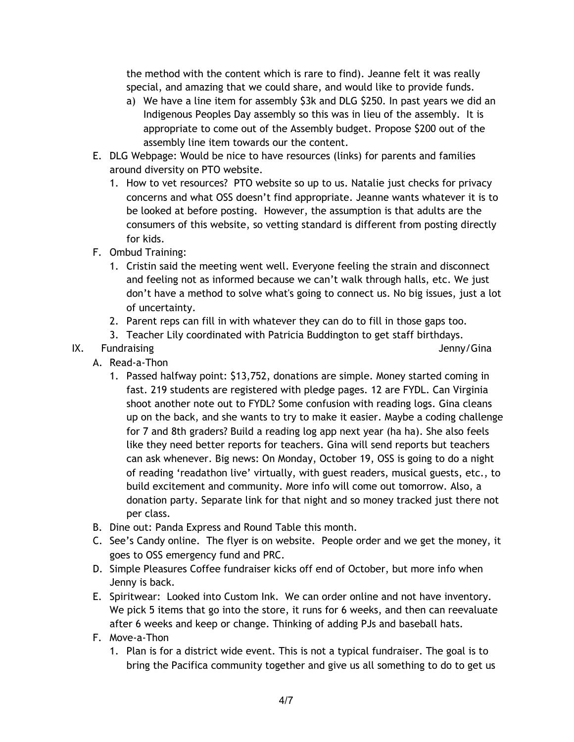the method with the content which is rare to find). Jeanne felt it was really special, and amazing that we could share, and would like to provide funds.

- a) We have a line item for assembly \$3k and DLG \$250. In past years we did an Indigenous Peoples Day assembly so this was in lieu of the assembly. It is appropriate to come out of the Assembly budget. Propose \$200 out of the assembly line item towards our the content.
- E. DLG Webpage: Would be nice to have resources (links) for parents and families around diversity on PTO website.
	- 1. How to vet resources? PTO website so up to us. Natalie just checks for privacy concerns and what OSS doesn't find appropriate. Jeanne wants whatever it is to be looked at before posting. However, the assumption is that adults are the consumers of this website, so vetting standard is different from posting directly for kids.
- F. Ombud Training:
	- 1. Cristin said the meeting went well. Everyone feeling the strain and disconnect and feeling not as informed because we can't walk through halls, etc. We just don't have a method to solve what's going to connect us. No big issues, just a lot of uncertainty.
	- 2. Parent reps can fill in with whatever they can do to fill in those gaps too.
	- 3. Teacher Lily coordinated with Patricia Buddington to get staff birthdays.
- IX. Fundraising **IX.** Superintendent and the set of the set of the set of the set of the set of the set of the set of the set of the set of the set of the set of the set of the set of the set of the set of the set of the s
- 
- A. Read-a-Thon
	- 1. Passed halfway point: \$13,752, donations are simple. Money started coming in fast. 219 students are registered with pledge pages. 12 are FYDL. Can Virginia shoot another note out to FYDL? Some confusion with reading logs. Gina cleans up on the back, and she wants to try to make it easier. Maybe a coding challenge for 7 and 8th graders? Build a reading log app next year (ha ha). She also feels like they need better reports for teachers. Gina will send reports but teachers can ask whenever. Big news: On Monday, October 19, OSS is going to do a night of reading 'readathon live' virtually, with guest readers, musical guests, etc., to build excitement and community. More info will come out tomorrow. Also, a donation party. Separate link for that night and so money tracked just there not per class.
- B. Dine out: Panda Express and Round Table this month.
- C. See's Candy online. The flyer is on website. People order and we get the money, it goes to OSS emergency fund and PRC.
- D. Simple Pleasures Coffee fundraiser kicks off end of October, but more info when Jenny is back.
- E. Spiritwear: Looked into Custom Ink. We can order online and not have inventory. We pick 5 items that go into the store, it runs for 6 weeks, and then can reevaluate after 6 weeks and keep or change. Thinking of adding PJs and baseball hats.
- F. Move-a-Thon
	- 1. Plan is for a district wide event. This is not a typical fundraiser. The goal is to bring the Pacifica community together and give us all something to do to get us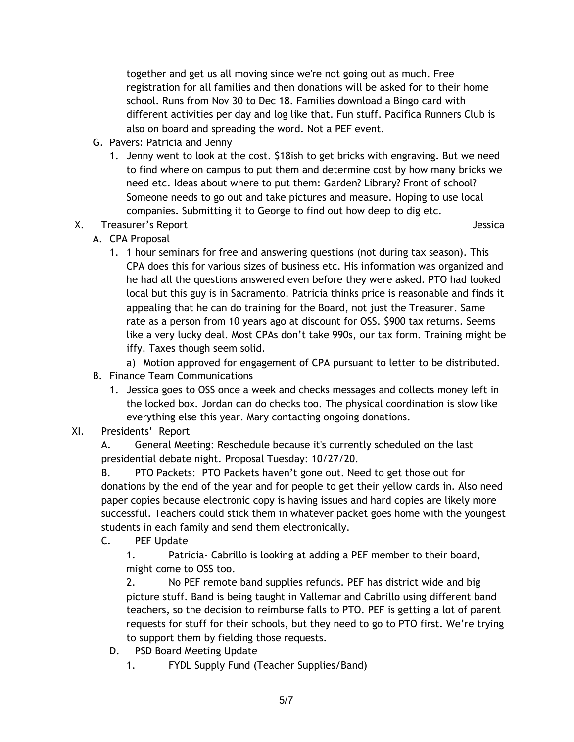together and get us all moving since we're not going out as much. Free registration for all families and then donations will be asked for to their home school. Runs from Nov 30 to Dec 18. Families download a Bingo card with different activities per day and log like that. Fun stuff. Pacifica Runners Club is also on board and spreading the word. Not a PEF event.

- G. Pavers: Patricia and Jenny
	- 1. Jenny went to look at the cost. \$18ish to get bricks with engraving. But we need to find where on campus to put them and determine cost by how many bricks we need etc. Ideas about where to put them: Garden? Library? Front of school? Someone needs to go out and take pictures and measure. Hoping to use local companies. Submitting it to George to find out how deep to dig etc.
- X. Treasurer's Report **All and Struck and Struck and Struck and Struck and Struck and Struck and Struck and Struck**

- A. CPA Proposal
	- 1. 1 hour seminars for free and answering questions (not during tax season). This CPA does this for various sizes of business etc. His information was organized and he had all the questions answered even before they were asked. PTO had looked local but this guy is in Sacramento. Patricia thinks price is reasonable and finds it appealing that he can do training for the Board, not just the Treasurer. Same rate as a person from 10 years ago at discount for OSS. \$900 tax returns. Seems like a very lucky deal. Most CPAs don't take 990s, our tax form. Training might be iffy. Taxes though seem solid.

a) Motion approved for engagement of CPA pursuant to letter to be distributed.

- B. Finance Team Communications
	- 1. Jessica goes to OSS once a week and checks messages and collects money left in the locked box. Jordan can do checks too. The physical coordination is slow like everything else this year. Mary contacting ongoing donations.
- XI. Presidents' Report

A. General Meeting: Reschedule because it's currently scheduled on the last presidential debate night. Proposal Tuesday: 10/27/20.

B. PTO Packets: PTO Packets haven't gone out. Need to get those out for donations by the end of the year and for people to get their yellow cards in. Also need paper copies because electronic copy is having issues and hard copies are likely more successful. Teachers could stick them in whatever packet goes home with the youngest students in each family and send them electronically.

C. PEF Update

1. Patricia- Cabrillo is looking at adding a PEF member to their board, might come to OSS too.

2. No PEF remote band supplies refunds. PEF has district wide and big picture stuff. Band is being taught in Vallemar and Cabrillo using different band teachers, so the decision to reimburse falls to PTO. PEF is getting a lot of parent requests for stuff for their schools, but they need to go to PTO first. We're trying to support them by fielding those requests.

- D. PSD Board Meeting Update
	- 1. FYDL Supply Fund (Teacher Supplies/Band)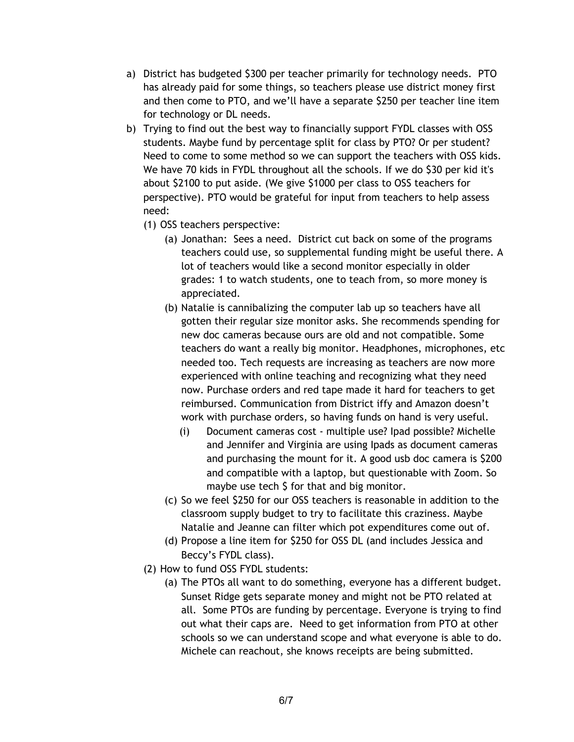- a) District has budgeted \$300 per teacher primarily for technology needs. PTO has already paid for some things, so teachers please use district money first and then come to PTO, and we'll have a separate \$250 per teacher line item for technology or DL needs.
- b) Trying to find out the best way to financially support FYDL classes with OSS students. Maybe fund by percentage split for class by PTO? Or per student? Need to come to some method so we can support the teachers with OSS kids. We have 70 kids in FYDL throughout all the schools. If we do \$30 per kid it's about \$2100 to put aside. (We give \$1000 per class to OSS teachers for perspective). PTO would be grateful for input from teachers to help assess need:
	- (1) OSS teachers perspective:
		- (a) Jonathan: Sees a need. District cut back on some of the programs teachers could use, so supplemental funding might be useful there. A lot of teachers would like a second monitor especially in older grades: 1 to watch students, one to teach from, so more money is appreciated.
		- (b) Natalie is cannibalizing the computer lab up so teachers have all gotten their regular size monitor asks. She recommends spending for new doc cameras because ours are old and not compatible. Some teachers do want a really big monitor. Headphones, microphones, etc needed too. Tech requests are increasing as teachers are now more experienced with online teaching and recognizing what they need now. Purchase orders and red tape made it hard for teachers to get reimbursed. Communication from District iffy and Amazon doesn't work with purchase orders, so having funds on hand is very useful.
			- (i) Document cameras cost multiple use? Ipad possible? Michelle and Jennifer and Virginia are using Ipads as document cameras and purchasing the mount for it. A good usb doc camera is \$200 and compatible with a laptop, but questionable with Zoom. So maybe use tech \$ for that and big monitor.
		- (c) So we feel \$250 for our OSS teachers is reasonable in addition to the classroom supply budget to try to facilitate this craziness. Maybe Natalie and Jeanne can filter which pot expenditures come out of.
		- (d) Propose a line item for \$250 for OSS DL (and includes Jessica and Beccy's FYDL class).
	- (2) How to fund OSS FYDL students:
		- (a) The PTOs all want to do something, everyone has a different budget. Sunset Ridge gets separate money and might not be PTO related at all. Some PTOs are funding by percentage. Everyone is trying to find out what their caps are. Need to get information from PTO at other schools so we can understand scope and what everyone is able to do. Michele can reachout, she knows receipts are being submitted.